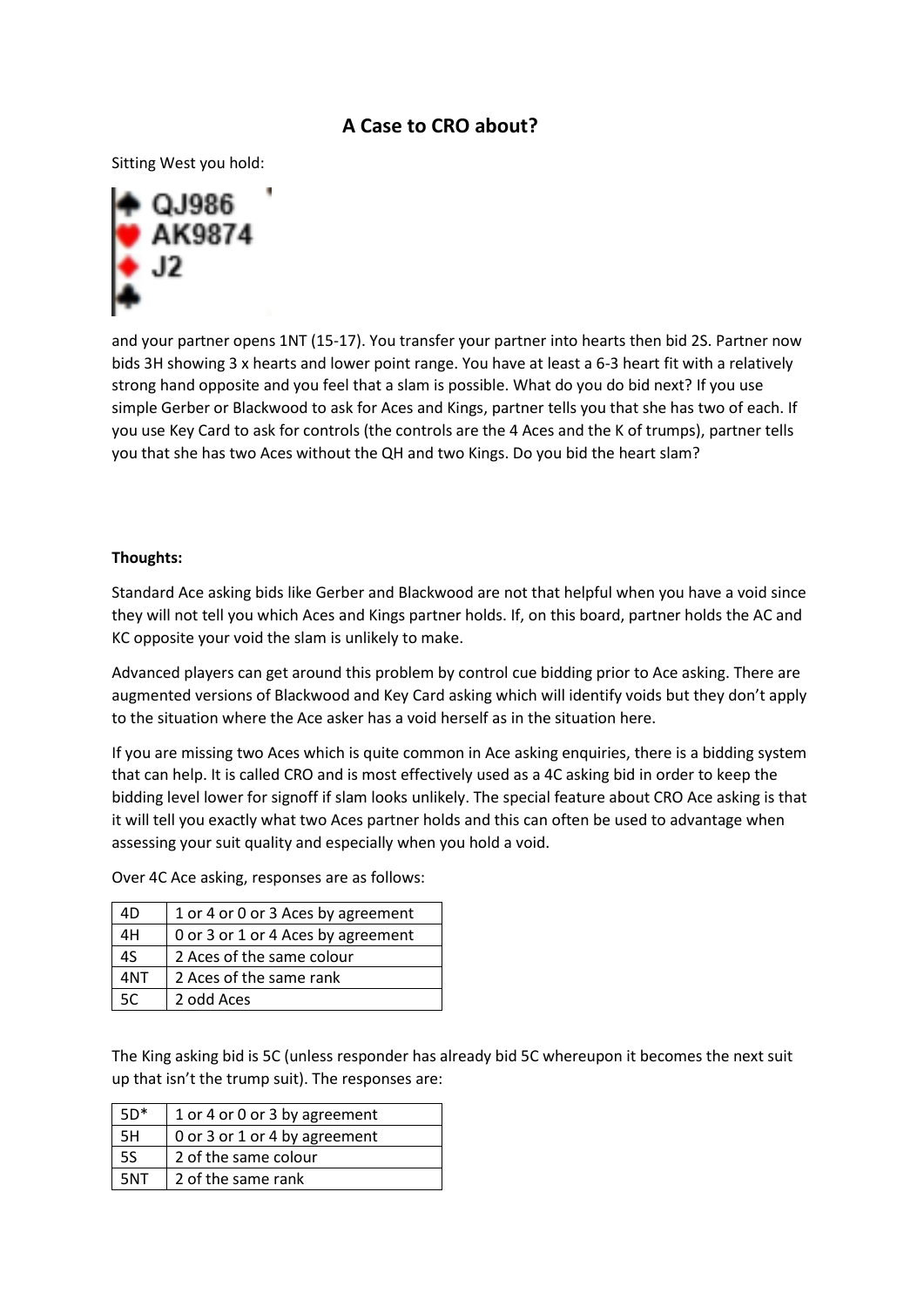## **A Case to CRO about?**

Sitting West you hold:



and your partner opens 1NT (15-17). You transfer your partner into hearts then bid 2S. Partner now bids 3H showing 3 x hearts and lower point range. You have at least a 6-3 heart fit with a relatively strong hand opposite and you feel that a slam is possible. What do you do bid next? If you use simple Gerber or Blackwood to ask for Aces and Kings, partner tells you that she has two of each. If you use Key Card to ask for controls (the controls are the 4 Aces and the K of trumps), partner tells you that she has two Aces without the QH and two Kings. Do you bid the heart slam?

## **Thoughts:**

Standard Ace asking bids like Gerber and Blackwood are not that helpful when you have a void since they will not tell you which Aces and Kings partner holds. If, on this board, partner holds the AC and KC opposite your void the slam is unlikely to make.

Advanced players can get around this problem by control cue bidding prior to Ace asking. There are augmented versions of Blackwood and Key Card asking which will identify voids but they don't apply to the situation where the Ace asker has a void herself as in the situation here.

If you are missing two Aces which is quite common in Ace asking enquiries, there is a bidding system that can help. It is called CRO and is most effectively used as a 4C asking bid in order to keep the bidding level lower for signoff if slam looks unlikely. The special feature about CRO Ace asking is that it will tell you exactly what two Aces partner holds and this can often be used to advantage when assessing your suit quality and especially when you hold a void.

Over 4C Ace asking, responses are as follows:

| 4D  | 1 or 4 or 0 or 3 Aces by agreement |  |
|-----|------------------------------------|--|
| 4H  | 0 or 3 or 1 or 4 Aces by agreement |  |
| 4S  | 2 Aces of the same colour          |  |
| 4NT | 2 Aces of the same rank            |  |
| 5C  | 2 odd Aces                         |  |

The King asking bid is 5C (unless responder has already bid 5C whereupon it becomes the next suit up that isn't the trump suit). The responses are:

| $5D*$ | 1 or 4 or 0 or 3 by agreement |
|-------|-------------------------------|
| -5H   | 0 or 3 or 1 or 4 by agreement |
| -5S   | 2 of the same colour          |
| 5NT   | 2 of the same rank            |